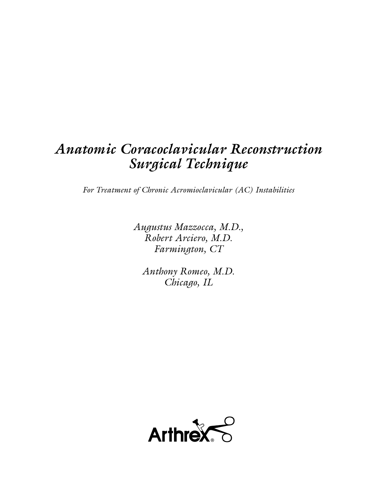# *Anatomic Coracoclavicular Reconstruction Surgical Technique*

*For Treatment of Chronic Acromioclavicular (AC) Instabilities*

*Augustus Mazzocca, M.D., Robert Arciero, M.D. Farmington, CT*

*Anthony Romeo, M.D. Chicago, IL*

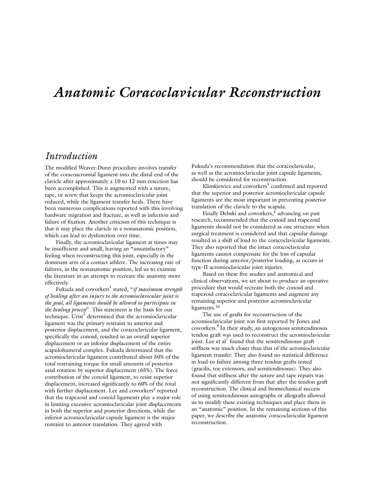# *Anatomic Coracoclavicular Reconstruction*

# *Introduction*

The modified Weaver-Dunn procedure involves transfer of the coracoacromial ligament into the distal end of the clavicle after approximately a 10 to 12 mm resection has been accomplished. This is augmented with a suture, tape, or screw that keeps the acromioclavicular joint reduced, while the ligament transfer heals. There have been numerous complications reported with this involving hardware migration and fracture, as well as infection and failure of fixation. Another criticism of this technique is that it may place the clavicle in a nonanatomic position, which can lead to dysfunction over time.

Finally, the acromioclavicular ligament at times may be insufficient and small, leaving an "unsatisfactory" feeling when reconstructing this joint, especially in the dominant arm of a contact athlete. The increasing rate of failures, in the nonanatomic position, led us to examine the literature in an attempt to recreate the anatomy more effectively.

Fukuda and coworkers1 stated, "*if maximum strength of healing after an injury to the acromioclavicular joint is the goal, all ligaments should be allowed to participate in the healing process*". This statement is the basis for our technique. Urist<sup>2</sup> determined that the acromioclavicular ligament was the primary restraint to anterior and posterior displacement, and the coracoclavicular ligament, specifically the conoid, resulted in an overall superior displacement or an inferior displacement of the entire scapulohumeral complex. Fukuda determined that the acromioclavicular ligament contributed about 50% of the total restraining torque for small amounts of posterior axial rotation by superior displacement (65%). The force contribution of the conoid ligament, to resist superior displacement, increased significantly to 60% of the total with further displacement. Lee and coworkers<sup>3</sup> reported that the trapezoid and conoid ligaments play a major role in limiting excessive acromioclavicular joint displacements in both the superior and posterior directions, while the inferior acromioclavicular capsule ligament is the major restraint to anterior translation. They agreed with

Fukuda's recommendation that the coracoclavicular, as well as the acromioclavicular joint capsule ligaments, should be considered for reconstruction.

Klimkiewicz and coworkers<sup>4</sup> confirmed and reported that the superior and posterior acromioclavicular capsule ligaments are the most important in preventing posterior translation of the clavicle to the scapula.

Finally Debski and coworkers,<sup>5</sup> advancing on past research, recommended that the conoid and trapezoid ligaments should not be considered as one structure when surgical treatment is considered and that capsular damage resulted in a shift of load to the coracoclavicular ligaments. They also reported that the intact coracoclavicular ligaments cannot compensate for the loss of capsular function during anterior/posterior loading, as occurs in type-II acromioclavicular joint injuries.

Based on these five studies and anatomical and clinical observations, we set about to produce an operative procedure that would recreate both the conoid and trapezoid coracoclavicular ligaments and augment any remaining superior and posterior acromioclavicular ligaments.<sup>10</sup>

The use of grafts for reconstruction of the acromioclavicular joint was first reported by Jones and coworkers.<sup>6</sup> In their study, an autogenous semitendinosus tendon graft was used to reconstruct the acromioclavicular joint. Lee et al<sup>7</sup> found that the semitendinosus graft stiffness was much closer than that of the acromioclavicular ligament transfer. They also found no statistical difference in load-to-failure among three tendon grafts tested (gracilis, toe extensors, and semitendinosus). They also found that stiffness after the suture and tape repairs was not significantly different from that after the tendon graft reconstruction. The clinical and biomechanical success of using semitendinosus autographs or allografts allowed us to modify these existing techniques and place them in an "anatomic" position. In the remaining sections of this paper, we describe the anatomic coracoclavicular ligament reconstruction.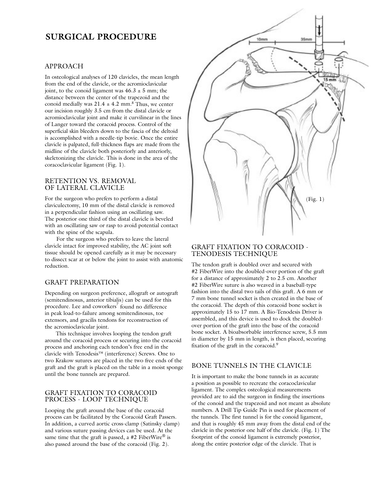# **SURGICAL PROCEDURE**

#### APPROACH

In osteological analyses of 120 clavicles, the mean length from the end of the clavicle, or the acromioclavicular joint, to the conoid ligament was  $46.3 \pm 5$  mm; the distance between the center of the trapezoid and the conoid medially was  $21.4 \pm 4.2$  mm.<sup>8</sup> Thus, we center our incision roughly 3.5 cm from the distal clavicle or acromioclavicular joint and make it curvilinear in the lines of Langer toward the coracoid process. Control of the superficial skin bleeders down to the fascia of the deltoid is accomplished with a needle-tip bovie. Once the entire clavicle is palpated, full-thickness flaps are made from the midline of the clavicle both posteriorly and anteriorly, skeletonizing the clavicle. This is done in the area of the coracoclavicular ligament (Fig. 1).

#### RETENTION VS. REMOVAL OF LATERAL CLAVICLE

For the surgeon who prefers to perform a distal claviculectomy, 10 mm of the distal clavicle is removed in a perpendicular fashion using an oscillating saw. The posterior one third of the distal clavicle is beveled with an oscillating saw or rasp to avoid potential contact with the spine of the scapula.

For the surgeon who prefers to leave the lateral clavicle intact for improved stability, the AC joint soft tissue should be opened carefully as it may be necessary to dissect scar at or below the joint to assist with anatomic reduction.

# GRAFT PREPARATION

Depending on surgeon preference, allograft or autograft (semitendinosus, anterior tibialis) can be used for this procedure. Lee and coworkers<sup>7</sup> found no difference in peak load-to-failure among semitendinosus, toe extensors, and gracilis tendons for reconstruction of the acromioclavicular joint.

This technique involves looping the tendon graft around the coracoid process or securing into the coracoid process and anchoring each tendon's free end in the clavicle with Tenodesis™ (interference) Screws. One to two Krakow sutures are placed in the two free ends of the graft and the graft is placed on the table in a moist sponge until the bone tunnels are prepared.

# GRAFT FIXATION TO CORACOID PROCESS - LOOP TECHNIQUE

Looping the graft around the base of the coracoid process can be facilitated by the Coracoid Graft Passers. In addition, a curved aortic cross-clamp (Satinsky clamp) and various suture passing devices can be used. At the same time that the graft is passed, a #2 FiberWire<sup>®</sup> is also passed around the base of the coracoid (Fig. 2).



# GRAFT FIXATION TO CORACOID - TENODESIS TECHNIQUE

The tendon graft is doubled over and secured with #2 FiberWire into the doubled-over portion of the graft for a distance of approximately 2 to 2.5 cm. Another #2 FiberWire suture is also weaved in a baseball-type fashion into the distal two tails of this graft. A 6 mm or 7 mm bone tunnel socket is then created in the base of the coracoid. The depth of this coracoid bone socket is approximately 15 to 17 mm. A Bio-Tenodesis Driver is assembled, and this device is used to dock the doubledover portion of the graft into the base of the coracoid bone socket. A bioabsorbable interference screw, 5.5 mm in diameter by 15 mm in length, is then placed, securing fixation of the graft in the coracoid.<sup>9</sup>

# BONE TUNNELS IN THE CLAVICLE

It is important to make the bone tunnels in as accurate a position as possible to recreate the coracoclavicular ligament. The complex osteological measurements provided are to aid the surgeon in finding the insertions of the conoid and the trapezoid and not meant as absolute numbers. A Drill Tip Guide Pin is used for placement of the tunnels. The first tunnel is for the conoid ligament, and that is roughly 45 mm away from the distal end of the clavicle in the posterior one half of the clavicle. (Fig. 1) The footprint of the conoid ligament is extremely posterior, along the entire posterior edge of the clavicle. That is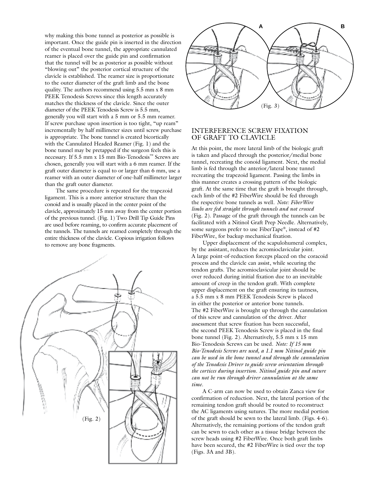why making this bone tunnel as posterior as possible is important. Once the guide pin is inserted in the direction of the eventual bone tunnel, the appropriate cannulated reamer is placed over the guide pin and confirmation that the tunnel will be as posterior as possible without "blowing out" the posterior cortical structure of the clavicle is established. The reamer size is proportionate to the outer diameter of the graft limb and the bone quality. The authors recommend using 5.5 mm x 8 mm PEEK Tenodesis Screws since this length accurately matches the thickness of the clavicle. Since the outer diameter of the PEEK Tenodesis Screw is 5.5 mm, generally you will start with a 5 mm or 5.5 mm reamer. If screw purchase upon insertion is too tight, "up ream" incrementally by half millimeter sizes until screw purchase is appropriate. The bone tunnel is created bicortically with the Cannulated Headed Reamer (Fig. 1) and the bone tunnel may be pretapped if the surgeon feels this is necessary. If 5.5 mm x 15 mm Bio-Tenodesis™ Screws are chosen, generally you will start with a 6 mm reamer. If the graft outer diameter is equal to or larger than 6 mm, use a reamer with an outer diameter of one-half millimeter larger than the graft outer diameter.

The same procedure is repeated for the trapezoid ligament. This is a more anterior structure than the conoid and is usually placed in the center point of the clavicle, approximately 15 mm away from the center portion of the previous tunnel. (Fig. 1) Two Drill Tip Guide Pins are used before reaming, to confirm accurate placement of the tunnels. The tunnels are reamed completely through the entire thickness of the clavicle. Copious irrigation follows to remove any bone fragments.





#### INTERFERENCE SCREW FIXATION OF GRAFT TO CLAVICLE

At this point, the more lateral limb of the biologic graft is taken and placed through the posterior/medial bone tunnel, recreating the conoid ligament. Next, the medial limb is fed through the anterior/lateral bone tunnel recreating the trapezoid ligament. Passing the limbs in this manner creates a crossing pattern of the biologic graft. At the same time that the graft is brought through, each limb of the #2 FiberWire should be fed through the respective bone tunnels as well. *Note: FiberWire limbs are fed straight through tunnels and not crossed* (Fig. 2). Passage of the graft through the tunnels can be facilitated with a Nitinol Graft Prep Needle. Alternatively, some surgeons prefer to use FiberTape®, instead of #2 FiberWire, for backup mechanical fixation.

Upper displacement of the scapulohumeral complex, by the assistant, reduces the acromioclavicular joint. A large point-of-reduction forceps placed on the coracoid process and the clavicle can assist, while securing the tendon grafts. The acromioclavicular joint should be over reduced during initial fixation due to an inevitable amount of creep in the tendon graft. With complete upper displacement on the graft ensuring its tautness, a 5.5 mm x 8 mm PEEK Tenodesis Screw is placed in either the posterior or anterior bone tunnels. The #2 FiberWire is brought up through the cannulation of this screw and cannulation of the driver. After assessment that screw fixation has been successful, the second PEEK Tenodesis Screw is placed in the final bone tunnel (Fig. 2). Alternatively, 5.5 mm x 15 mm Bio-Tenodesis Screws can be used. *Note: If 15 mm Bio-Tenodesis Screws are used, a 1.1 mm Nitinol guide pin can be used in the bone tunnel and through the cannulation of the Tenodesis Driver to guide screw orientation through the cortices during insertion. Nitinol guide pin and suture can not be run through driver cannulation at the same time.*

A C-arm can now be used to obtain Zanca view for confirmation of reduction. Next, the lateral portion of the remaining tendon graft should be routed to reconstruct the AC ligaments using sutures. The more medial portion of the graft should be sewn to the lateral limb. (Figs. 4-6). Alternatively, the remaining portions of the tendon graft can be sewn to each other as a tissue bridge between the screw heads using #2 FiberWire. Once both graft limbs have been secured, the #2 FiberWire is tied over the top (Figs. 3A and 3B).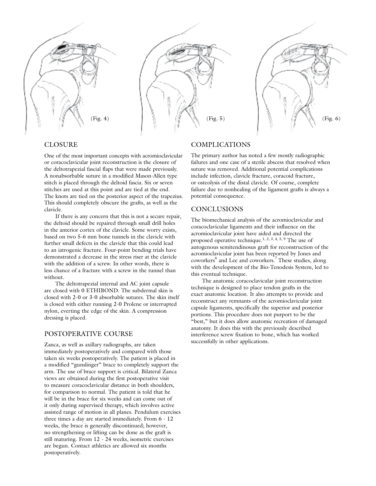





# CLOSURE

One of the most important concepts with acromioclavicular or coracoclavicular joint reconstruction is the closure of the deltotrapezial fascial flaps that were made previously. A nonabsorbable suture in a modified Mason-Allen type stitch is placed through the deltoid fascia. Six or seven stitches are used at this point and are tied at the end. The knots are tied on the posterior aspect of the trapezius. This should completely obscure the grafts, as well as the clavicle.

If there is any concern that this is not a secure repair, the deltoid should be repaired through small drill holes in the anterior cortex of the clavicle. Some worry exists, based on two 5-6 mm bone tunnels in the clavicle with further small defects in the clavicle that this could lead to an iatrogenic fracture. Four-point bending trials have demonstrated a decrease in the stress riser at the clavicle with the addition of a screw. In other words, there is less chance of a fracture with a screw in the tunnel than without.

The deltotrapezial internal and AC joint capsule are closed with 0 ETHIBOND. The subdermal skin is closed with 2-0 or 3-0 absorbable sutures. The skin itself is closed with either running 2-0 Prolene or interrupted nylon, everting the edge of the skin. A compression dressing is placed.

# POSTOPERATIVE COURSE

Zanca, as well as axillary radiographs, are taken immediately postoperatively and compared with those taken six weeks postoperatively. The patient is placed in a modified "gunslinger" brace to completely support the arm. The use of brace support is critical. Bilateral Zanca views are obtained during the first postoperative visit to measure coracoclavicular distance in both shoulders, for comparison to normal. The patient is told that he will be in the brace for six weeks and can come out of it only during supervised therapy, which involves active assisted range of motion in all planes. Pendulum exercises three times a day are started immediately. From 6 - 12 weeks, the brace is generally discontinued; however, no strengthening or lifting can be done as the graft is still maturing. From 12 - 24 weeks, isometric exercises are begun. Contact athletics are allowed six months postoperatively.

### COMPLICATIONS

The primary author has noted a few mostly radiographic failures and one case of a sterile abscess that resolved when suture was removed. Additional potential complications include infection, clavicle fracture, coracoid fracture, or osteolysis of the distal clavicle. Of course, complete failure due to nonhealing of the ligament grafts is always a potential consequence.

# **CONCLUSIONS**

The biomechanical analysis of the acromioclavicular and coracoclavicular ligaments and their influence on the acromioclavicular joint have aided and directed the proposed operative technique.1, 2, 3, 4, 5, 9 The use of autogenous semitendinosus graft for reconstruction of the acromioclavicular joint has been reported by Jones and coworkers<sup>6</sup> and Lee and coworkers.<sup>7</sup> These studies, along with the development of the Bio-Tenodesis System, led to this eventual technique.

The anatomic coracoclavicular joint reconstruction technique is designed to place tendon grafts in the exact anatomic location. It also attempts to provide and reconstruct any remnants of the acromioclavicular joint capsule ligaments, specifically the superior and posterior portions. This procedure does not purport to be the "best," but it does allow anatomic recreation of damaged anatomy. It does this with the previously described interference screw fixation to bone, which has worked successfully in other applications.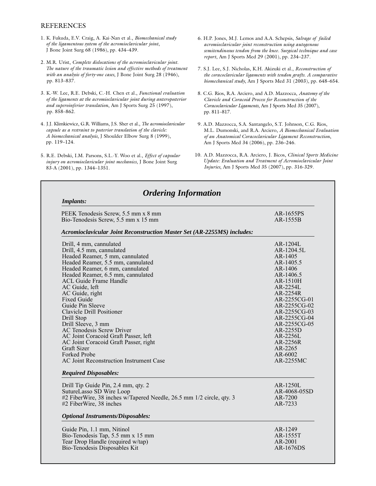# REFERENCES

- 1. K. Fukuda, E.V. Craig, A. Kai-Nan et al., *Biomechanical study of the ligamentous system of the acromioclavicular joint*, J Bone Joint Surg 68 (1986), pp. 434–439.
- 2. M.R. Urist, *Complete dislocations of the acromioclavicular joint. The nature of the traumatic lesion and effective methods of treatment with an analysis of forty-one cases*, J Bone Joint Surg 28 (1946), pp. 813–837.
- 3. K.-W. Lee, R.E. Debski, C.-H. Chen et al., *Functional evaluation of the ligaments at the acromioclavicular joint during anteroposterior and superoinferior translation*, Am J Sports Surg 25 (1997), pp. 858–862.
- 4. J.J. Klimkiewicz, G.R. Williams, J.S. Sher et al., *The acromioclavicular capsule as a restraint to posterior translation of the clavicle: A biomechanical analysis*, J Shoulder Elbow Surg 8 (1999), pp. 119–124.
- 5. R.E. Debski, I.M. Parsons, S.L.-Y. Woo et al., *Effect of capsular injury on acromioclavicular joint mechanics*, J Bone Joint Surg 83-A (2001), pp. 1344–1351.
- 6. H.P. Jones, M.J. Lemos and A.A. Schepsis, *Salvage of failed acromioclavicular joint reconstruction using autogenous semitendinosus tendon from the knee. Surgical technique and case report*, Am J Sports Med 29 (2001), pp. 234–237.
- 7. S.J. Lee, S.J. Nicholas, K.H. Akizuki et al., *Reconstruction of the coracoclavicular ligaments with tendon grafts. A comparative biomechanical study*, Am J Sports Med 31 (2003), pp. 648–654.
- 8. C.G. Rios, R.A. Arciero, and A.D. Mazzocca, *Anatomy of the Clavicle and Coracoid Process for Reconstruction of the Coracoclavicular Ligaments*, Am J Sports Med 35 (2007), pp. 811–817.
- 9. A.D. Mazzocca, S.A. Santangelo, S.T. Johnson, C.G. Rios, M.L. Dumonski, and R.A. Arciero, *A Biomechanical Evaluation of an Anatomical Coracoclavicular Ligament Reconstruction*, Am J Sports Med 34 (2006), pp. 236–246.
- 10. A.D. Mazzocca, R.A. Arciero, J. Bicos, *Clinical Sports Medicine Update: Evaluation and Treatment of Acromioclavicular Joint Injuries*, Am J Sports Med 35 (2007), pp. 316-329.

| PEEK Tenodesis Screw, 5.5 mm x 8 mm                                     | AR-1655PS              |
|-------------------------------------------------------------------------|------------------------|
| Bio-Tenodesis Screw, 5.5 mm x 15 mm                                     | AR-1555B               |
| Acromioclavicular Joint Reconstruction Master Set (AR-2255MS) includes: |                        |
| Drill, 4 mm, cannulated                                                 | $AR-1204L$             |
| Drill, 4.5 mm, cannulated                                               | AR-1204.5L             |
| Headed Reamer, 5 mm, cannulated                                         | AR-1405                |
| Headed Reamer, 5.5 mm, cannulated                                       | AR-1405.5              |
| Headed Reamer, 6 mm, cannulated                                         | AR-1406                |
| Headed Reamer, 6.5 mm, cannulated                                       | AR-1406.5              |
| ACL Guide Frame Handle                                                  | AR-1510H<br>$AR-2254L$ |
| AC Guide, left<br>AC Guide, right                                       | AR-2254R               |
| <b>Fixed Guide</b>                                                      | AR-2255CG-01           |
| Guide Pin Sleeve                                                        | AR-2255CG-02           |
| <b>Clavicle Drill Positioner</b>                                        | AR-2255CG-03           |
| Drill Stop                                                              | AR-2255CG-04           |
| Drill Sleeve, 3 mm                                                      | AR-2255CG-05           |
| <b>AC Tenodesis Screw Driver</b>                                        | AR-2255D               |
| AC Joint Coracoid Graft Passer, left                                    | AR-2256L               |
| AC Joint Coracoid Graft Passer, right                                   | AR-2256R               |
| <b>Graft Sizer</b>                                                      | AR-2265                |
| Forked Probe                                                            | AR-6002                |
| AC Joint Reconstruction Instrument Case                                 | AR-2255MC              |
| <b>Required Disposables:</b>                                            |                        |
| Drill Tip Guide Pin, 2.4 mm, qty. 2                                     | AR-1250L               |
| SutureLasso SD Wire Loop                                                | AR-4068-05SD           |
| #2 FiberWire, 38 inches w/Tapered Needle, 26.5 mm 1/2 circle, qty. 3    | AR-7200                |
| #2 FiberWire, 38 inches                                                 | AR-7233                |
| <b>Optional Instruments/Disposables:</b>                                |                        |
| Guide Pin, 1.1 mm, Nitinol                                              | AR-1249                |
| Bio-Tenodesis Tap, 5.5 mm x 15 mm                                       | AR-1555T               |
| Tear Drop Handle (required w/tap)                                       | AR-2001                |
| Bio-Tenodesis Disposables Kit                                           | AR-1676DS              |